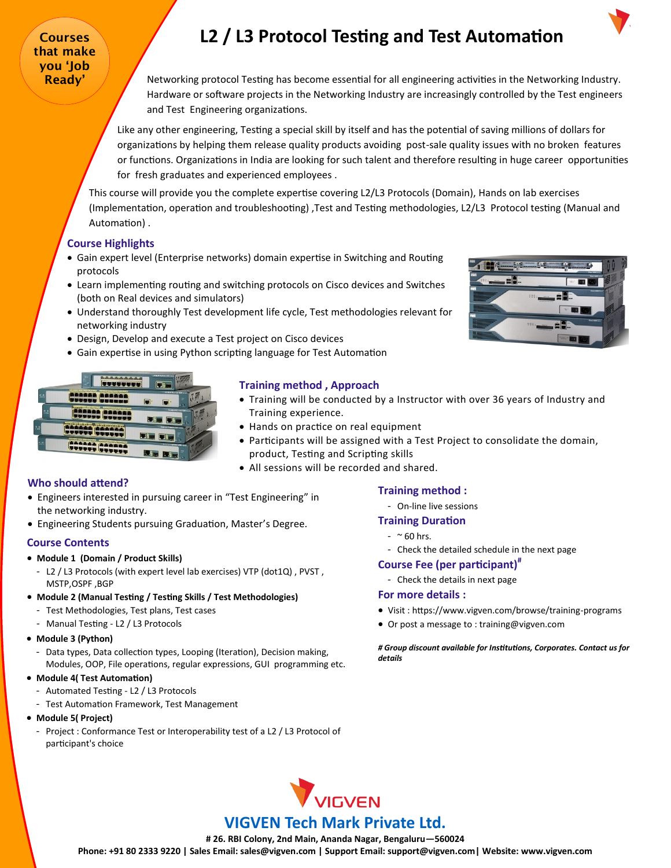Courses that make you 'Job

# **L2 / L3 Protocol Testing and Test Automation**

**Ready'**  $\sqrt{\phantom{a}}$  Networking protocol Testing has become essential for all engineering activities in the Networking Industry. Hardware or software projects in the Networking Industry are increasingly controlled by the Test engineers and Test Engineering organizations.

> Like any other engineering, Testing a special skill by itself and has the potential of saving millions of dollars for organizations by helping them release quality products avoiding post-sale quality issues with no broken features or functions. Organizations in India are looking for such talent and therefore resulting in huge career opportunities for fresh graduates and experienced employees .

This course will provide you the complete expertise covering L2/L3 Protocols (Domain), Hands on lab exercises (Implementation, operation and troubleshooting) ,Test and Testing methodologies, L2/L3 Protocol testing (Manual and Automation) .

# **Course Highlights**

- Gain expert level (Enterprise networks) domain expertise in Switching and Routing protocols
- Learn implementing routing and switching protocols on Cisco devices and Switches (both on Real devices and simulators)
- Understand thoroughly Test development life cycle, Test methodologies relevant for networking industry
- Design, Develop and execute a Test project on Cisco devices
- Gain expertise in using Python scripting language for Test Automation



# **Training method , Approach**

- Training will be conducted by a Instructor with over 36 years of Industry and Training experience.
- Hands on practice on real equipment
- Participants will be assigned with a Test Project to consolidate the domain, product, Testing and Scripting skills
- All sessions will be recorded and shared.

## **Who should attend?**

- Engineers interested in pursuing career in "Test Engineering" in the networking industry.
- Engineering Students pursuing Graduation, Master's Degree.

### **Course Contents**

### • **Module 1 (Domain / Product Skills)**

- L2 / L3 Protocols (with expert level lab exercises) VTP (dot1Q) , PVST , MSTP,OSPF ,BGP
- **Module 2 (Manual Testing / Testing Skills / Test Methodologies)**
	- Test Methodologies, Test plans, Test cases
	- Manual Testing L2 / L3 Protocols
- **Module 3 (Python)**
	- Data types, Data collection types, Looping (Iteration), Decision making, Modules, OOP, File operations, regular expressions, GUI programming etc.

### • **Module 4( Test Automation)**

- Automated Testing L2 / L3 Protocols
- Test Automation Framework, Test Management
- **Module 5( Project)**
	- Project : Conformance Test or Interoperability test of a L2 / L3 Protocol of participant's choice

## **Training method :**

### - On-line live sessions

- **Training Duration** 
	- $-$  ~ 60 hrs.
	- Check the detailed schedule in the next page

# **Course Fee (per participant)#**

- Check the details in next page

### **For more details :**

- Visit : https://www.vigven.com/browse/training-programs
- Or post a message to : training@vigven.com

*# Group discount available for Institutions, Corporates. Contact us for details*



# **VIGVEN Tech Mark Private Ltd.**

**# 26. RBI Colony, 2nd Main, Ananda Nagar, Bengaluru—560024**

**Phone: +91 80 2333 9220 | Sales Email: sales@vigven.com | Support Email: support@vigven.com| Website: www.vigven.com**